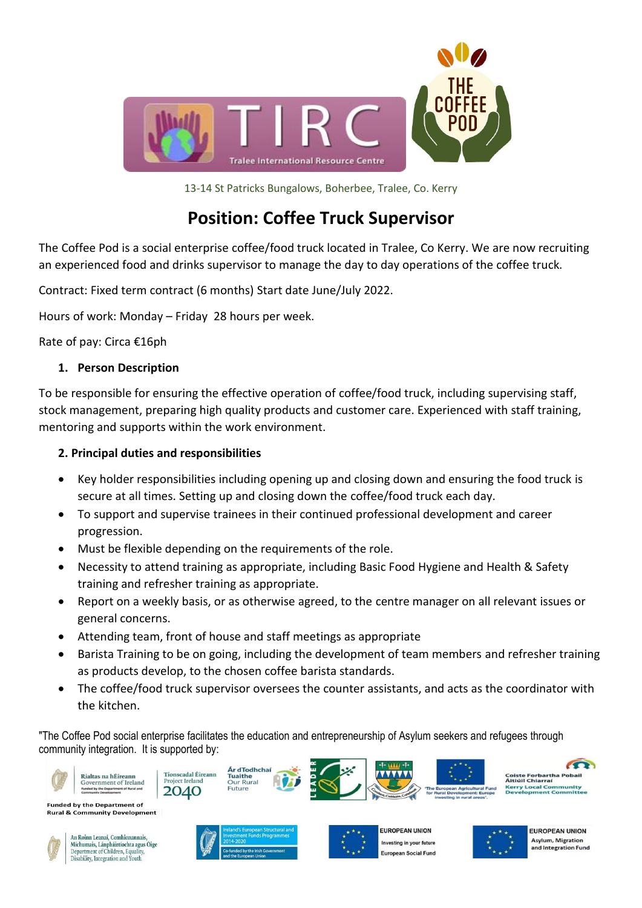

13-14 St Patricks Bungalows, Boherbee, Tralee, Co. Kerry

## **Position: Coffee Truck Supervisor**

The Coffee Pod is a social enterprise coffee/food truck located in Tralee, Co Kerry. We are now recruiting an experienced food and drinks supervisor to manage the day to day operations of the coffee truck.

Contract: Fixed term contract (6 months) Start date June/July 2022.

Hours of work: Monday – Friday 28 hours per week.

Rate of pay: Circa €16ph

## **1. Person Description**

To be responsible for ensuring the effective operation of coffee/food truck, including supervising staff, stock management, preparing high quality products and customer care. Experienced with staff training, mentoring and supports within the work environment.

## **2. Principal duties and responsibilities**

- Key holder responsibilities including opening up and closing down and ensuring the food truck is secure at all times. Setting up and closing down the coffee/food truck each day.
- To support and supervise trainees in their continued professional development and career progression.
- Must be flexible depending on the requirements of the role.
- Necessity to attend training as appropriate, including Basic Food Hygiene and Health & Safety training and refresher training as appropriate.
- Report on a weekly basis, or as otherwise agreed, to the centre manager on all relevant issues or general concerns.
- Attending team, front of house and staff meetings as appropriate
- Barista Training to be on going, including the development of team members and refresher training as products develop, to the chosen coffee barista standards.
- The coffee/food truck supervisor oversees the counter assistants, and acts as the coordinator with the kitchen.

"The Coffee Pod social enterprise facilitates the education and entrepreneurship of Asylum seekers and refugees through community integration. It is supported by:





Michumais, Lánpháirtíochta agus Óige<br>Department of Children, Equality, Disability, Integration and Youth







**EUROPEAN UNION Asylum, Migration** and Integration Fund